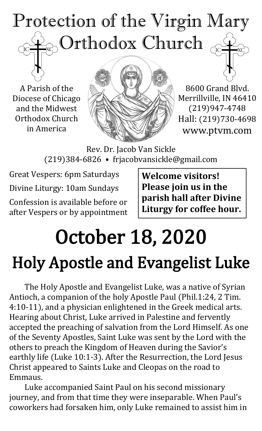

A Parish of the Diocese of Chicago and the Midwest Orthodox Church in America



8600 Grand Blvd. Merrillville, IN 46410 (219)947-4748 Hall: (219)730-4698 www.ptvm.com

Rev. Dr. Jacob Van Sickle (219)384-6826 • frjacobvansickle@gmail.com

Great Vespers: 6pm Saturdays Divine Liturgy: 10am Sundays Confession is available before or after Vespers or by appointment **Welcome visitors! Please join us in the parish hall after Divine Liturgy for coffee hour.**

# October 18, 2020 Holy Apostle and Evangelist Luke

The Holy Apostle and Evangelist Luke, was a native of Syrian Antioch, a companion of the holy Apostle Paul (Phil.1:24, 2 Tim. 4:10-11), and a physician enlightened in the Greek medical arts. Hearing about Christ, Luke arrived in Palestine and fervently accepted the preaching of salvation from the Lord Himself. As one of the Seventy Apostles, Saint Luke was sent by the Lord with the others to preach the Kingdom of Heaven during the Savior's earthly life (Luke 10:1-3). After the Resurrection, the Lord Jesus Christ appeared to Saints Luke and Cleopas on the road to Emmaus.

Luke accompanied Saint Paul on his second missionary journey, and from that time they were inseparable. When Paul's coworkers had forsaken him, only Luke remained to assist him in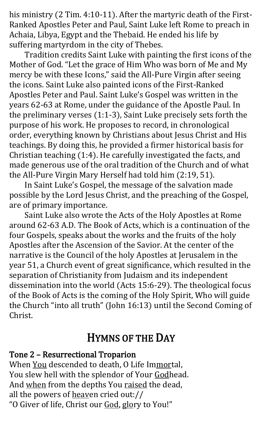his ministry (2 Tim. 4:10-11). After the martyric death of the First-Ranked Apostles Peter and Paul, Saint Luke left Rome to preach in Achaia, Libya, Egypt and the Thebaid. He ended his life by suffering martyrdom in the city of Thebes.

Tradition credits Saint Luke with painting the first icons of the Mother of God. "Let the grace of Him Who was born of Me and My mercy be with these Icons," said the All-Pure Virgin after seeing the icons. Saint Luke also painted icons of the First-Ranked Apostles Peter and Paul. Saint Luke's Gospel was written in the years 62-63 at Rome, under the guidance of the Apostle Paul. In the preliminary verses (1:1-3), Saint Luke precisely sets forth the purpose of his work. He proposes to record, in chronological order, everything known by Christians about Jesus Christ and His teachings. By doing this, he provided a firmer historical basis for Christian teaching (1:4). He carefully investigated the facts, and made generous use of the oral tradition of the Church and of what the All-Pure Virgin Mary Herself had told him (2:19, 51).

In Saint Luke's Gospel, the message of the salvation made possible by the Lord Jesus Christ, and the preaching of the Gospel, are of primary importance.

Saint Luke also wrote the Acts of the Holy Apostles at Rome around 62-63 A.D. The Book of Acts, which is a continuation of the four Gospels, speaks about the works and the fruits of the holy Apostles after the Ascension of the Savior. At the center of the narrative is the Council of the holy Apostles at Jerusalem in the year 51, a Church event of great significance, which resulted in the separation of Christianity from Judaism and its independent dissemination into the world (Acts 15:6-29). The theological focus of the Book of Acts is the coming of the Holy Spirit, Who will guide the Church "into all truth" (John 16:13) until the Second Coming of Christ.

# HYMNS OF THE DAY

#### Tone 2 – Resurrectional Troparion

When You descended to death, O Life Immortal, You slew hell with the splendor of Your Godhead. And when from the depths You raised the dead, all the powers of heaven cried out:// "O Giver of life, Christ our God, glory to You!"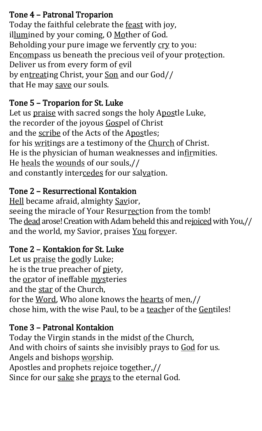#### Tone 4 – Patronal Troparion

Today the faithful celebrate the feast with joy, illumined by your coming, O Mother of God. Beholding your pure image we fervently cry to you: Encompass us beneath the precious veil of your protection. Deliver us from every form of evil by entreating Christ, your Son and our God// that He may save our souls.

#### Tone 5 – Troparion for St. Luke

Let us praise with sacred songs the holy Apostle Luke, the recorder of the joyous Gospel of Christ and the scribe of the Acts of the Apostles; for his writings are a testimony of the Church of Christ. He is the physician of human weaknesses and infirmities. He heals the wounds of our souls,// and constantly intercedes for our salvation.

### Tone 2 – Resurrectional Kontakion

Hell became afraid, almighty Savior, seeing the miracle of Your Resurrection from the tomb! The dead arose! Creation with Adam beheld this and rejoiced with You,// and the world, my Savior, praises You forever.

### Tone 2 – Kontakion for St. Luke

Let us praise the godly Luke; he is the true preacher of piety, the orator of ineffable mysteries and the star of the Church, for the Word, Who alone knows the hearts of men,// chose him, with the wise Paul, to be a teacher of the Gentiles!

#### Tone 3 – Patronal Kontakion

Today the Virgin stands in the midst of the Church, And with choirs of saints she invisibly prays to God for us. Angels and bishops worship. Apostles and prophets rejoice together,// Since for our sake she prays to the eternal God.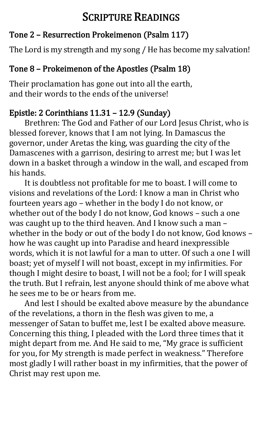# SCRIPTURE READINGS

### Tone 2 – Resurrection Prokeimenon (Psalm 117)

The Lord is my strength and my song / He has become my salvation!

## Tone 8 – Prokeimenon of the Apostles (Psalm 18)

Their proclamation has gone out into all the earth, and their words to the ends of the universe!

## Epistle: 2 Corinthians 11.31 – 12.9 (Sunday)

Brethren: The God and Father of our Lord Jesus Christ, who is blessed forever, knows that I am not lying. In Damascus the governor, under Aretas the king, was guarding the city of the Damascenes with a garrison, desiring to arrest me; but I was let down in a basket through a window in the wall, and escaped from his hands.

It is doubtless not profitable for me to boast. I will come to visions and revelations of the Lord: I know a man in Christ who fourteen years ago – whether in the body I do not know, or whether out of the body I do not know, God knows – such a one was caught up to the third heaven. And I know such a man – whether in the body or out of the body I do not know, God knows – how he was caught up into Paradise and heard inexpressible words, which it is not lawful for a man to utter. Of such a one I will boast; yet of myself I will not boast, except in my infirmities. For though I might desire to boast, I will not be a fool; for I will speak the truth. But I refrain, lest anyone should think of me above what he sees me to be or hears from me.

And lest I should be exalted above measure by the abundance of the revelations, a thorn in the flesh was given to me, a messenger of Satan to buffet me, lest I be exalted above measure. Concerning this thing, I pleaded with the Lord three times that it might depart from me. And He said to me, "My grace is sufficient for you, for My strength is made perfect in weakness." Therefore most gladly I will rather boast in my infirmities, that the power of Christ may rest upon me.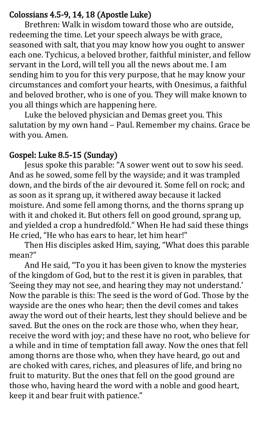#### Colossians 4.5-9, 14, 18 (Apostle Luke)

 Brethren: Walk in wisdom toward those who are outside, redeeming the time. Let your speech always be with grace, seasoned with salt, that you may know how you ought to answer each one. Tychicus, a beloved brother, faithful minister, and fellow servant in the Lord, will tell you all the news about me. I am sending him to you for this very purpose, that he may know your circumstances and comfort your hearts, with Onesimus, a faithful and beloved brother, who is one of you. They will make known to you all things which are happening here.

Luke the beloved physician and Demas greet you. This salutation by my own hand – Paul. Remember my chains. Grace be [w](https://www.oca.org/readings/daily/2020/10/17)ith you. Amen.

#### Gospel: Luke 8.5-15 (Sunday)

Jesus spoke this parable: "A sower went out to sow his seed. And as he sowed, some fell by the wayside; and it was trampled down, and the birds of the air devoured it. Some fell on rock; and as soon as it sprang up, it withered away because it lacked moisture. And some fell among thorns, and the thorns sprang up with it and choked it. But others fell on good ground, sprang up, and yielded a crop a hundredfold." When He had said these things He cried, "He who has ears to hear, let him hear!"

Then His disciples asked Him, saying, "What does this parable mean?"

And He said, "To you it has been given to know the mysteries of the kingdom of God, but to the rest it is given in parables, that 'Seeing they may not see, and hearing they may not understand.' Now the parable is this: The seed is the word of God. Those by the wayside are the ones who hear; then the devil comes and takes away the word out of their hearts, lest they should believe and be saved. But the ones on the rock are those who, when they hear, receive the word with joy; and these have no root, who believe for a while and in time of temptation fall away. Now the ones that fell among thorns are those who, when they have heard, go out and are choked with cares, riches, and pleasures of life, and bring no fruit to maturity. But the ones that fell on the good ground are those who, having heard the word with a noble and good heart, keep it and bear fruit with patience."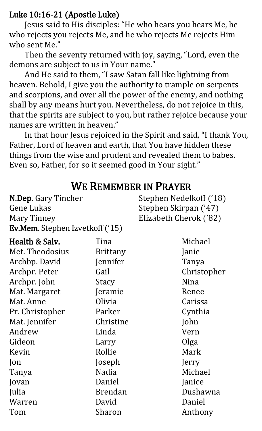#### Luke 10:16-21 (Apostle Luke)

N.Dep. Gary Tincher

Gene Lukas

Jesus said to His disciples: "He who hears you hears Me, he who rejects you rejects Me, and he who rejects Me rejects Him who sent Me."

 Then the seventy returned with joy, saying, "Lord, even the demons are subject to us in Your name."

 And He said to them, "I saw Satan fall like lightning from heaven. Behold, I give you the authority to trample on serpents and scorpions, and over all the power of the enemy, and nothing shall by any means hurt you. Nevertheless, do not rejoice in this, that the spirits are subject to you, but rather rejoice because your names are written in heaven."

 In that hour Jesus rejoiced in the Spirit and said, "I thank You, Father, Lord of heaven and earth, that You have hidden these things from the wise and prudent and revealed them to babes. Even so, Father, for so it seemed good in Your sight."

| <b>Mary Tinney</b>                     |                 | Elizabeth Cherok ('82) |  |
|----------------------------------------|-----------------|------------------------|--|
| <b>Ev.Mem.</b> Stephen Izvetkoff ('15) |                 |                        |  |
| Health & Salv.                         | Tina            | Michael                |  |
| Met Theodosius                         | <b>Brittany</b> | Janie                  |  |
| Archbp David                           | Jennifer        | Tanya                  |  |
| Archpr. Peter                          | Gail            | Christopher            |  |
| Archpr. John                           | Stacy           | <b>Nina</b>            |  |
| Mat. Margaret                          | Jeramie         | Renee                  |  |
| Mat. Anne                              | Olivia          | Carissa                |  |
| Pr. Christopher                        | Parker          | Cynthia                |  |
| Mat. Jennifer                          | Christine       | John                   |  |
| Andrew                                 | Linda           | Vern                   |  |
| Gideon                                 | Larry           | Olga                   |  |
| Kevin                                  | Rollie          | Mark                   |  |
| Jon                                    | Joseph          | Jerry                  |  |
| Tanya                                  | Nadia           | Michael                |  |
| Jovan                                  | Daniel          | Janice                 |  |
| Julia                                  | <b>Brendan</b>  | Dushawna               |  |
| Warren                                 | David           | Daniel                 |  |
| Tom                                    | Sharon          | Anthony                |  |

# WE REMEMBER IN PRAYER

Stephen Nedelkoff ('18)

Stephen Skirpan ('47)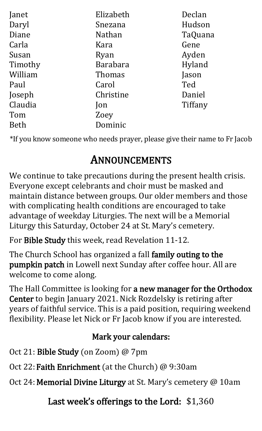| Elizabeth       | Declan  |
|-----------------|---------|
| Snezana         | Hudson  |
| <b>Nathan</b>   | TaQuana |
| Kara            | Gene    |
| Ryan            | Ayden   |
| <b>Barabara</b> | Hyland  |
| <b>Thomas</b>   | Jason   |
| Carol           | Ted     |
| Christine       | Daniel  |
| Jon             | Tiffany |
| Zoey            |         |
| Dominic         |         |
|                 |         |

\*If you know someone who needs prayer, please give their name to Fr Jacob

# ANNOUNCEMENTS

We continue to take precautions during the present health crisis. Everyone except celebrants and choir must be masked and maintain distance between groups. Our older members and those with complicating health conditions are encouraged to take advantage of weekday Liturgies. The next will be a Memorial Liturgy this Saturday, October 24 at St. Mary's cemetery.

For Bible Study this week, read Revelation 11-12.

The Church School has organized a fall family outing to the pumpkin patch in Lowell next Sunday after coffee hour. All are welcome to come along.

The Hall Committee is looking for a new manager for the Orthodox Center to begin January 2021. Nick Rozdelsky is retiring after years of faithful service. This is a paid position, requiring weekend flexibility. Please let Nick or Fr Jacob know if you are interested.

### Mark your calendars:

Oct 21: Bible Study (on Zoom) @ 7pm

Oct 22:Faith Enrichment (at the Church) @ 9:30am

Oct 24: Memorial Divine Liturgy at St. Mary's cemetery @ 10am

## Last week's offerings to the Lord: \$1,360